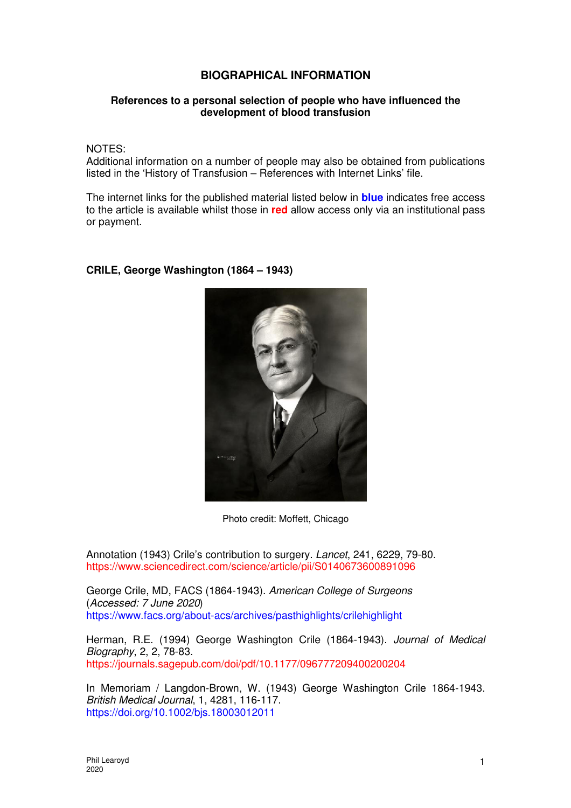## **BIOGRAPHICAL INFORMATION**

## **References to a personal selection of people who have influenced the development of blood transfusion**

NOTES:

Additional information on a number of people may also be obtained from publications listed in the 'History of Transfusion – References with Internet Links' file.

The internet links for the published material listed below in **blue** indicates free access to the article is available whilst those in **red** allow access only via an institutional pass or payment.

## **CRILE, George Washington (1864 – 1943)**



Photo credit: Moffett, Chicago

Annotation (1943) Crile's contribution to surgery. Lancet, 241, 6229, 79-80. https://www.sciencedirect.com/science/article/pii/S0140673600891096

George Crile, MD, FACS (1864-1943). American College of Surgeons (Accessed: 7 June 2020) https://www.facs.org/about-acs/archives/pasthighlights/crilehighlight

Herman, R.E. (1994) George Washington Crile (1864-1943). Journal of Medical Biography, 2, 2, 78-83. https://journals.sagepub.com/doi/pdf/10.1177/096777209400200204

In Memoriam / Langdon-Brown, W. (1943) George Washington Crile 1864-1943. British Medical Journal, 1, 4281, 116-117. https://doi.org/10.1002/bjs.18003012011